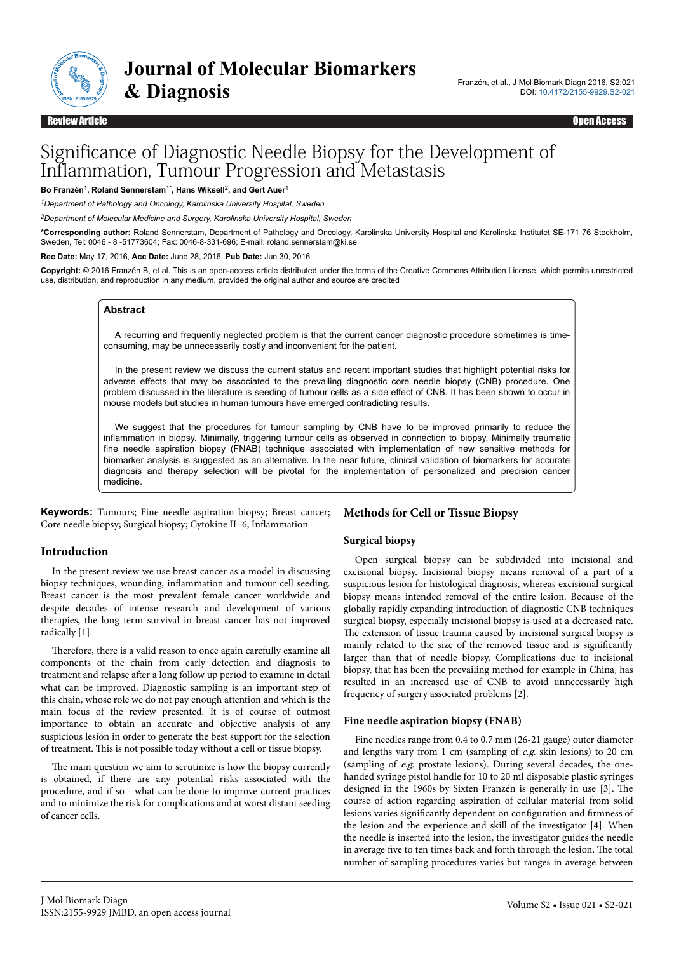

# Review Article Open Access

# Significance of Diagnostic Needle Biopsy for the Development of Inflammation, Tumour Progression and Metastasis

#### **Bo Franzén**<sup>1</sup> **, Roland Sennerstam**1\***, Hans Wiksell**<sup>2</sup> **, and Gert Auer**<sup>1</sup>

*<sup>1</sup>Department of Pathology and Oncology, Karolinska University Hospital, Sweden*

*<sup>2</sup>Department of Molecular Medicine and Surgery, Karolinska University Hospital, Sweden*

**\*Corresponding author:** Roland Sennerstam, Department of Pathology and Oncology, Karolinska University Hospital and Karolinska Institutet SE-171 76 Stockholm, Sweden, Tel: 0046 - 8 -51773604; Fax: 0046-8-331-696; E-mail: roland.sennerstam@ki.se

**Rec Date:** May 17, 2016, **Acc Date:** June 28, 2016, **Pub Date:** Jun 30, 2016

**Copyright:** © 2016 Franzén B, et al. This is an open-access article distributed under the terms of the Creative Commons Attribution License, which permits unrestricted use, distribution, and reproduction in any medium, provided the original author and source are credited

# **Abstract**

A recurring and frequently neglected problem is that the current cancer diagnostic procedure sometimes is timeconsuming, may be unnecessarily costly and inconvenient for the patient.

In the present review we discuss the current status and recent important studies that highlight potential risks for adverse effects that may be associated to the prevailing diagnostic core needle biopsy (CNB) procedure. One problem discussed in the literature is seeding of tumour cells as a side effect of CNB. It has been shown to occur in mouse models but studies in human tumours have emerged contradicting results.

We suggest that the procedures for tumour sampling by CNB have to be improved primarily to reduce the inflammation in biopsy. Minimally, triggering tumour cells as observed in connection to biopsy. Minimally traumatic fine needle aspiration biopsy (FNAB) technique associated with implementation of new sensitive methods for biomarker analysis is suggested as an alternative. In the near future, clinical validation of biomarkers for accurate diagnosis and therapy selection will be pivotal for the implementation of personalized and precision cancer medicine.

**Keywords:** Tumours; Fine needle aspiration biopsy; Breast cancer; Core needle biopsy; Surgical biopsy; Cytokine IL-6; Inflammation

#### **Introduction**

In the present review we use breast cancer as a model in discussing biopsy techniques, wounding, inflammation and tumour cell seeding. Breast cancer is the most prevalent female cancer worldwide and despite decades of intense research and development of various therapies, the long term survival in breast cancer has not improved radically [1].

Therefore, there is a valid reason to once again carefully examine all components of the chain from early detection and diagnosis to treatment and relapse after a long follow up period to examine in detail what can be improved. Diagnostic sampling is an important step of this chain, whose role we do not pay enough attention and which is the main focus of the review presented. It is of course of outmost importance to obtain an accurate and objective analysis of any suspicious lesion in order to generate the best support for the selection of treatment. This is not possible today without a cell or tissue biopsy.

The main question we aim to scrutinize is how the biopsy currently is obtained, if there are any potential risks associated with the procedure, and if so - what can be done to improve current practices and to minimize the risk for complications and at worst distant seeding of cancer cells.

# **Methods for Cell or Tissue Biopsy**

#### **Surgical biopsy**

Open surgical biopsy can be subdivided into incisional and excisional biopsy. Incisional biopsy means removal of a part of a suspicious lesion for histological diagnosis, whereas excisional surgical biopsy means intended removal of the entire lesion. Because of the globally rapidly expanding introduction of diagnostic CNB techniques surgical biopsy, especially incisional biopsy is used at a decreased rate. The extension of tissue trauma caused by incisional surgical biopsy is mainly related to the size of the removed tissue and is significantly larger than that of needle biopsy. Complications due to incisional biopsy, that has been the prevailing method for example in China, has resulted in an increased use of CNB to avoid unnecessarily high frequency of surgery associated problems [2].

#### **Fine needle aspiration biopsy (FNAB)**

Fine needles range from 0.4 to 0.7 mm (26-21 gauge) outer diameter and lengths vary from 1 cm (sampling of e.g. skin lesions) to 20 cm (sampling of e.g. prostate lesions). During several decades, the onehanded syringe pistol handle for 10 to 20 ml disposable plastic syringes designed in the 1960s by Sixten Franzén is generally in use [3]. Нe course of action regarding aspiration of cellular material from solid lesions varies significantly dependent on configuration and firmness of the lesion and the experience and skill of the investigator [4]. When the needle is inserted into the lesion, the investigator guides the needle in average five to ten times back and forth through the lesion. Нe total number of sampling procedures varies but ranges in average between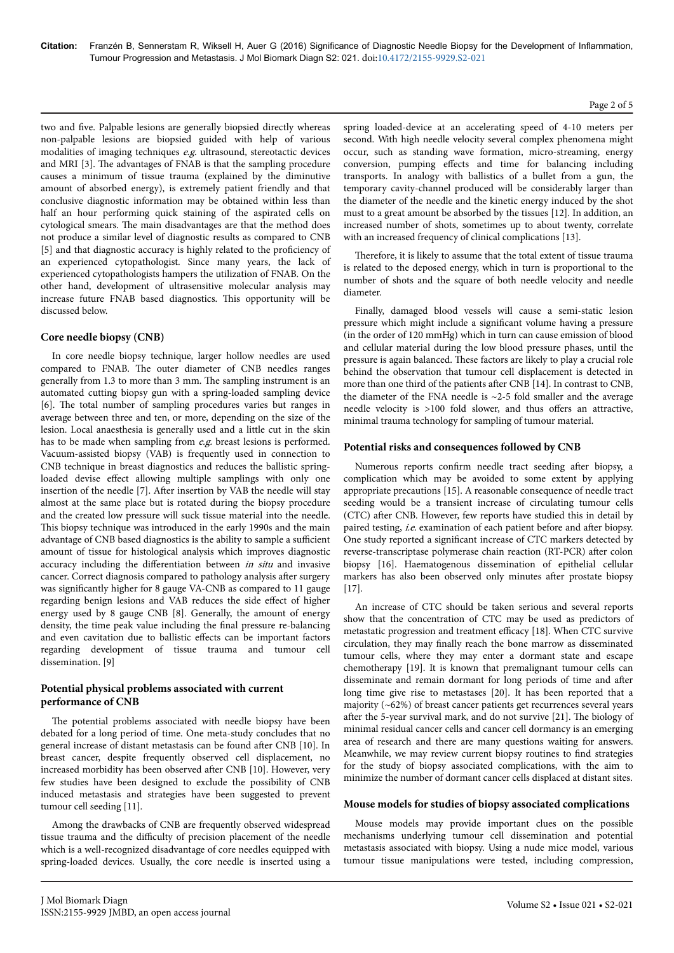two and five. Palpable lesions are generally biopsied directly whereas non-palpable lesions are biopsied guided with help of various modalities of imaging techniques e.g. ultrasound, stereotactic devices and MRI [3]. Нe advantages of FNAB is that the sampling procedure causes a minimum of tissue trauma (explained by the diminutive amount of absorbed energy), is extremely patient friendly and that conclusive diagnostic information may be obtained within less than half an hour performing quick staining of the aspirated cells on cytological smears. Нe main disadvantages are that the method does not produce a similar level of diagnostic results as compared to CNB  $[5]$  and that diagnostic accuracy is highly related to the proficiency of an experienced cytopathologist. Since many years, the lack of experienced cytopathologists hampers the utilization of FNAB. On the other hand, development of ultrasensitive molecular analysis may increase future FNAB based diagnostics. This opportunity will be discussed below.

# **Core needle biopsy (CNB)**

In core needle biopsy technique, larger hollow needles are used compared to FNAB. Нe outer diameter of CNB needles ranges generally from 1.3 to more than 3 mm. Нe sampling instrument is an automated cutting biopsy gun with a spring-loaded sampling device [6]. Нe total number of sampling procedures varies but ranges in average between three and ten, or more, depending on the size of the lesion. Local anaesthesia is generally used and a little cut in the skin has to be made when sampling from e.g. breast lesions is performed. Vacuum-assisted biopsy (VAB) is frequently used in connection to CNB technique in breast diagnostics and reduces the ballistic springloaded devise effect allowing multiple samplings with only one insertion of the needle [7]. After insertion by VAB the needle will stay almost at the same place but is rotated during the biopsy procedure and the created low pressure will suck tissue material into the needle. This biopsy technique was introduced in the early 1990s and the main advantage of CNB based diagnostics is the ability to sample a sufficient amount of tissue for histological analysis which improves diagnostic accuracy including the differentiation between in situ and invasive cancer. Correct diagnosis compared to pathology analysis after surgery was significantly higher for 8 gauge VA-CNB as compared to 11 gauge regarding benign lesions and VAB reduces the side effect of higher energy used by 8 gauge CNB [8]. Generally, the amount of energy density, the time peak value including the final pressure re-balancing and even cavitation due to ballistic effects can be important factors regarding development of tissue trauma and tumour cell dissemination. [9]

# **Potential physical problems associated with current performance of CNB**

The potential problems associated with needle biopsy have been debated for a long period of time. One meta-study concludes that no general increase of distant metastasis can be found after CNB [10]. In breast cancer, despite frequently observed cell displacement, no increased morbidity has been observed after CNB [10]. However, very few studies have been designed to exclude the possibility of CNB induced metastasis and strategies have been suggested to prevent tumour cell seeding [11].

Among the drawbacks of CNB are frequently observed widespread tissue trauma and the difficulty of precision placement of the needle which is a well-recognized disadvantage of core needles equipped with spring-loaded devices. Usually, the core needle is inserted using a

spring loaded-device at an accelerating speed of 4-10 meters per second. With high needle velocity several complex phenomena might occur, such as standing wave formation, micro-streaming, energy conversion, pumping effects and time for balancing including transports. In analogy with ballistics of a bullet from a gun, the temporary cavity-channel produced will be considerably larger than the diameter of the needle and the kinetic energy induced by the shot must to a great amount be absorbed by the tissues [12]. In addition, an increased number of shots, sometimes up to about twenty, correlate with an increased frequency of clinical complications [13].

Therefore, it is likely to assume that the total extent of tissue trauma is related to the deposed energy, which in turn is proportional to the number of shots and the square of both needle velocity and needle diameter.

Finally, damaged blood vessels will cause a semi-static lesion pressure which might include a significant volume having a pressure (in the order of 120 mmHg) which in turn can cause emission of blood and cellular material during the low blood pressure phases, until the pressure is again balanced. Нese factors are likely to play a crucial role behind the observation that tumour cell displacement is detected in more than one third of the patients after CNB [14]. In contrast to CNB, the diameter of the FNA needle is  $\sim$ 2-5 fold smaller and the average needle velocity is  $>100$  fold slower, and thus offers an attractive, minimal trauma technology for sampling of tumour material.

#### **Potential risks and consequences followed by CNB**

Numerous reports confirm needle tract seeding after biopsy, a complication which may be avoided to some extent by applying appropriate precautions [15]. A reasonable consequence of needle tract seeding would be a transient increase of circulating tumour cells (CTC) after CNB. However, few reports have studied this in detail by paired testing, i.e. examination of each patient before and after biopsy. One study reported a significant increase of CTC markers detected by reverse-transcriptase polymerase chain reaction (RT-PCR) after colon biopsy [16]. Haematogenous dissemination of epithelial cellular markers has also been observed only minutes after prostate biopsy [17].

An increase of CTC should be taken serious and several reports show that the concentration of CTC may be used as predictors of metastatic progression and treatment efficacy [18]. When CTC survive circulation, they may finally reach the bone marrow as disseminated tumour cells, where they may enter a dormant state and escape chemotherapy [19]. It is known that premalignant tumour cells can disseminate and remain dormant for long periods of time and after long time give rise to metastases [20]. It has been reported that a majority  $(-62%)$  of breast cancer patients get recurrences several years after the 5-year survival mark, and do not survive [21]. The biology of minimal residual cancer cells and cancer cell dormancy is an emerging area of research and there are many questions waiting for answers. Meanwhile, we may review current biopsy routines to find strategies for the study of biopsy associated complications, with the aim to minimize the number of dormant cancer cells displaced at distant sites.

#### **Mouse models for studies of biopsy associated complications**

Mouse models may provide important clues on the possible mechanisms underlying tumour cell dissemination and potential metastasis associated with biopsy. Using a nude mice model, various tumour tissue manipulations were tested, including compression,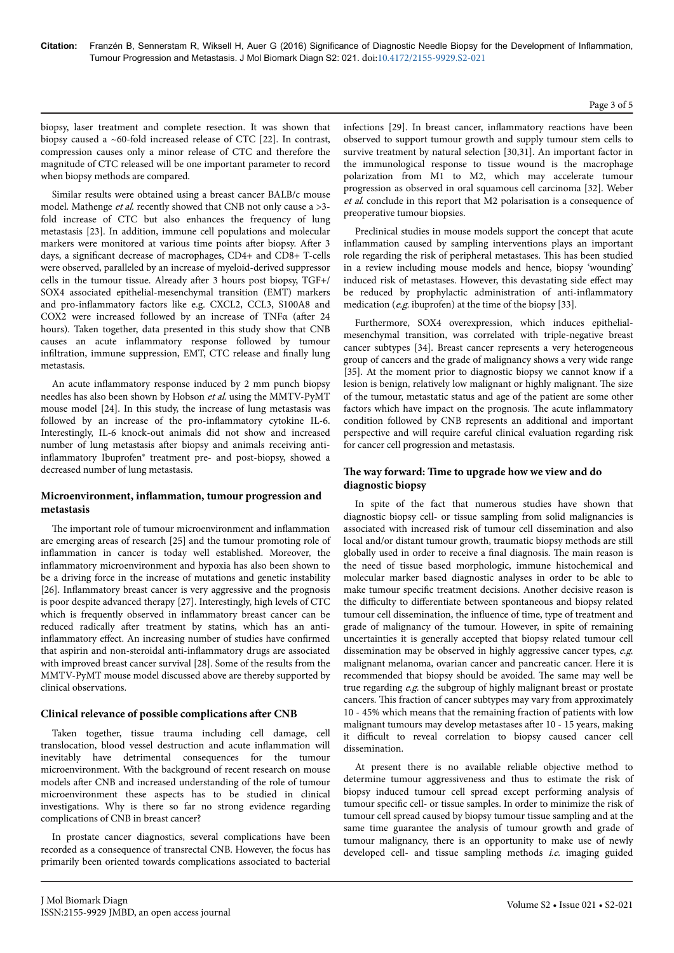biopsy, laser treatment and complete resection. It was shown that biopsy caused a ~60-fold increased release of CTC [22]. In contrast, compression causes only a minor release of CTC and therefore the magnitude of CTC released will be one important parameter to record when biopsy methods are compared.

Similar results were obtained using a breast cancer BALB/c mouse model. Mathenge *et al.* recently showed that CNB not only cause a >3fold increase of CTC but also enhances the frequency of lung metastasis [23]. In addition, immune cell populations and molecular markers were monitored at various time points after biopsy. After 3 days, a significant decrease of macrophages, CD4+ and CD8+ T-cells were observed, paralleled by an increase of myeloid-derived suppressor cells in the tumour tissue. Already after 3 hours post biopsy,  $TGF+/$ SOX4 associated epithelial-mesenchymal transition (EMT) markers and pro-inflammatory factors like e.g. CXCL2, CCL3, S100A8 and COX2 were increased followed by an increase of TNFa (after 24 hours). Taken together, data presented in this study show that CNB causes an acute inflammatory response followed by tumour infiltration, immune suppression, EMT, CTC release and finally lung metastasis.

An acute inflammatory response induced by 2 mm punch biopsy needles has also been shown by Hobson et al. using the MMTV-PyMT mouse model [24]. In this study, the increase of lung metastasis was followed by an increase of the pro-inflammatory cytokine IL-6. Interestingly, IL-6 knock-out animals did not show and increased number of lung metastasis after biopsy and animals receiving antiinflammatory Ibuprofen® treatment pre- and post-biopsy, showed a decreased number of lung metastasis.

# **Microenvironment, inflammation, tumour progression and metastasis**

The important role of tumour microenvironment and inflammation are emerging areas of research [25] and the tumour promoting role of inflammation in cancer is today well established. Moreover, the inflammatory microenvironment and hypoxia has also been shown to be a driving force in the increase of mutations and genetic instability [26]. Inflammatory breast cancer is very aggressive and the prognosis is poor despite advanced therapy [27]. Interestingly, high levels of CTC which is frequently observed in inflammatory breast cancer can be reduced radically after treatment by statins, which has an antiinflammatory effect. An increasing number of studies have confirmed that aspirin and non-steroidal anti-inflammatory drugs are associated with improved breast cancer survival [28]. Some of the results from the MMTV-PyMT mouse model discussed above are thereby supported by clinical observations.

# **Clinical relevance of possible complications after CNB**

Taken together, tissue trauma including cell damage, cell translocation, blood vessel destruction and acute inflammation will inevitably have detrimental consequences for the tumour microenvironment. With the background of recent research on mouse models after CNB and increased understanding of the role of tumour microenvironment these aspects has to be studied in clinical investigations. Why is there so far no strong evidence regarding complications of CNB in breast cancer?

In prostate cancer diagnostics, several complications have been recorded as a consequence of transrectal CNB. However, the focus has primarily been oriented towards complications associated to bacterial

infections [29]. In breast cancer, inflammatory reactions have been observed to support tumour growth and supply tumour stem cells to survive treatment by natural selection [30,31]. An important factor in the immunological response to tissue wound is the macrophage polarization from M1 to M2, which may accelerate tumour progression as observed in oral squamous cell carcinoma [32]. Weber et al. conclude in this report that M2 polarisation is a consequence of preoperative tumour biopsies.

Preclinical studies in mouse models support the concept that acute inflammation caused by sampling interventions plays an important role regarding the risk of peripheral metastases. This has been studied in a review including mouse models and hence, biopsy 'wounding' induced risk of metastases. However, this devastating side effect may be reduced by prophylactic administration of anti-inflammatory medication (e.g. ibuprofen) at the time of the biopsy [33].

Furthermore, SOX4 overexpression, which induces epithelialmesenchymal transition, was correlated with triple-negative breast cancer subtypes [34]. Breast cancer represents a very heterogeneous group of cancers and the grade of malignancy shows a very wide range [35]. At the moment prior to diagnostic biopsy we cannot know if a lesion is benign, relatively low malignant or highly malignant. Нe size of the tumour, metastatic status and age of the patient are some other factors which have impact on the prognosis. The acute inflammatory condition followed by CNB represents an additional and important perspective and will require careful clinical evaluation regarding risk for cancer cell progression and metastasis.

# The way forward: Time to upgrade how we view and do **diagnostic biopsy**

In spite of the fact that numerous studies have shown that diagnostic biopsy cell- or tissue sampling from solid malignancies is associated with increased risk of tumour cell dissemination and also local and/or distant tumour growth, traumatic biopsy methods are still globally used in order to receive a final diagnosis. The main reason is the need of tissue based morphologic, immune histochemical and molecular marker based diagnostic analyses in order to be able to make tumour specific treatment decisions. Another decisive reason is the difficulty to differentiate between spontaneous and biopsy related tumour cell dissemination, the influence of time, type of treatment and grade of malignancy of the tumour. However, in spite of remaining uncertainties it is generally accepted that biopsy related tumour cell dissemination may be observed in highly aggressive cancer types, e.g. malignant melanoma, ovarian cancer and pancreatic cancer. Here it is recommended that biopsy should be avoided. Нe same may well be true regarding e.g. the subgroup of highly malignant breast or prostate cancers. This fraction of cancer subtypes may vary from approximately 10 - 45% which means that the remaining fraction of patients with low malignant tumours may develop metastases after 10 - 15 years, making it difficult to reveal correlation to biopsy caused cancer cell dissemination.

At present there is no available reliable objective method to determine tumour aggressiveness and thus to estimate the risk of biopsy induced tumour cell spread except performing analysis of tumour specific cell- or tissue samples. In order to minimize the risk of tumour cell spread caused by biopsy tumour tissue sampling and at the same time guarantee the analysis of tumour growth and grade of tumour malignancy, there is an opportunity to make use of newly developed cell- and tissue sampling methods *i.e.* imaging guided

#### Page 3 of 5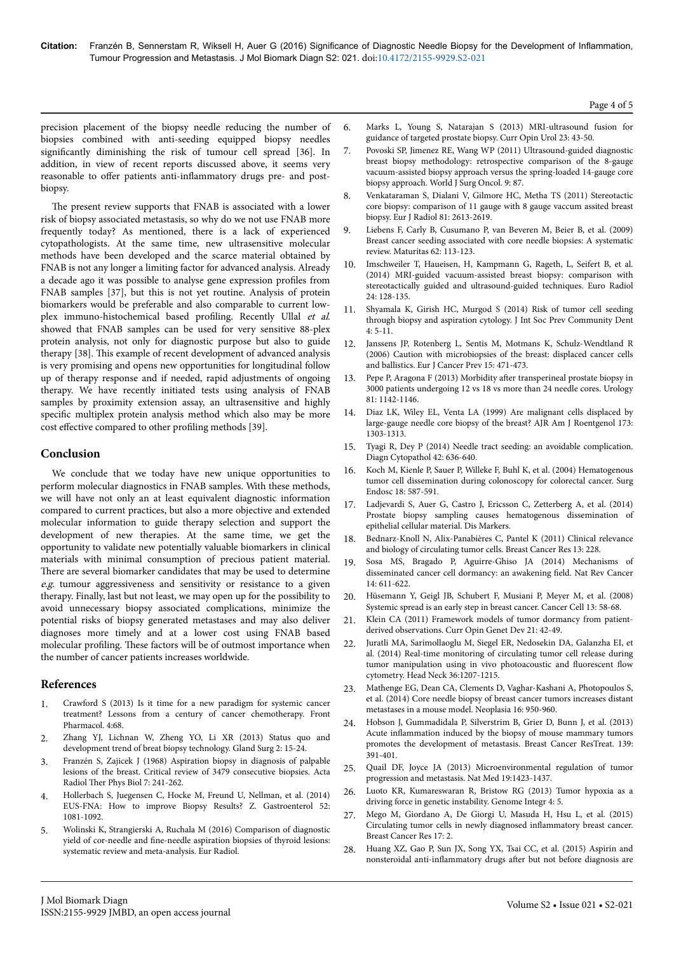precision placement of the biopsy needle reducing the number of biopsies combined with anti-seeding equipped biopsy needles significantly diminishing the risk of tumour cell spread [36]. In addition, in view of recent reports discussed above, it seems very reasonable to offer patients anti-inflammatory drugs pre- and postbiopsy.

The present review supports that FNAB is associated with a lower risk of biopsy associated metastasis, so why do we not use FNAB more frequently today? As mentioned, there is a lack of experienced cytopathologists. At the same time, new ultrasensitive molecular methods have been developed and the scarce material obtained by FNAB is not any longer a limiting factor for advanced analysis. Already a decade ago it was possible to analyse gene expression profiles from FNAB samples [37], but this is not yet routine. Analysis of protein biomarkers would be preferable and also comparable to current lowplex immuno-histochemical based profiling. Recently Ullal et al. showed that FNAB samples can be used for very sensitive 88-plex protein analysis, not only for diagnostic purpose but also to guide therapy [38]. This example of recent development of advanced analysis is very promising and opens new opportunities for longitudinal follow up of therapy response and if needed, rapid adjustments of ongoing therapy. We have recently initiated tests using analysis of FNAB samples by proximity extension assay, an ultrasensitive and highly specific multiplex protein analysis method which also may be more cost effective compared to other profiling methods [39].

# **Conclusion**

We conclude that we today have new unique opportunities to perform molecular diagnostics in FNAB samples. With these methods, we will have not only an at least equivalent diagnostic information compared to current practices, but also a more objective and extended molecular information to guide therapy selection and support the development of new therapies. At the same time, we get the opportunity to validate new potentially valuable biomarkers in clinical materials with minimal consumption of precious patient material. There are several biomarker candidates that may be used to determine e.g. tumour aggressiveness and sensitivity or resistance to a given therapy. Finally, last but not least, we may open up for the possibility to avoid unnecessary biopsy associated complications, minimize the potential risks of biopsy generated metastases and may also deliver diagnoses more timely and at a lower cost using FNAB based molecular profiling. These factors will be of outmost importance when the number of cancer patients increases worldwide.

#### **References**

- 1. [Crawford S \(2013\) Is it time for a new paradigm for systemic cancer](http://www.ncbi.nlm.nih.gov/pubmed/23805101) [treatment? Lessons from a century of cancer chemotherapy. Front](http://www.ncbi.nlm.nih.gov/pubmed/23805101) [Pharmacol. 4:68.](http://www.ncbi.nlm.nih.gov/pubmed/23805101)
- 2. [Zhang YJ, Lichnan W, Zheng YO, Li XR \(2013\) Status quo and](http://www.ncbi.nlm.nih.gov/pubmed/25083451) [development trend of breat biopsy technology. Gland Surg 2: 15-24.](http://www.ncbi.nlm.nih.gov/pubmed/25083451)
- 3. [Franzén S, Zajicek J \(1968\) Aspiration biopsy in diagnosis of palpable](http://www.ncbi.nlm.nih.gov/pubmed/4179434) [lesions of the breast. Critical review of 3479 consecutive biopsies. Acta](http://www.ncbi.nlm.nih.gov/pubmed/4179434) Radiol Ther [Phys Biol 7: 241-262.](http://www.ncbi.nlm.nih.gov/pubmed/4179434)
- 4. [Hollerbach S, Juegensen C, Hocke M, Freund U, Nellman, et al. \(2014\)](http://www.ncbi.nlm.nih.gov/pubmed/25198088) [EUS-FNA: How to improve Biopsy Results? Z. Gastroenterol 52:](http://www.ncbi.nlm.nih.gov/pubmed/25198088) [1081-1092.](http://www.ncbi.nlm.nih.gov/pubmed/25198088)
- 5. [Wolinski K, Strangierski A, Ruchala M \(2016\) Comparison of diagnostic](http://www.ncbi.nlm.nih.gov/pubmed/27090114) yield of cor-needle and fine-needle [aspiration biopsies of thyroid lesions:](http://www.ncbi.nlm.nih.gov/pubmed/27090114) [systematic review and meta-analysis. Eur Radiol.](http://www.ncbi.nlm.nih.gov/pubmed/27090114)
- 6. [Marks L, Young S, Natarajan S \(2013\) MRI-ultrasound fusion for](http://www.ncbi.nlm.nih.gov/pubmed/23138468) [guidance of targeted prostate biopsy. Curr Opin Urol 23: 43-50.](http://www.ncbi.nlm.nih.gov/pubmed/23138468)
- 7. [Povoski SP, Jimenez RE, Wang WP \(2011\) Ultrasound-guided diagnostic](http://www.ncbi.nlm.nih.gov/pmc/articles/PMC3171710/) [breast biopsy methodology: retrospective comparison of the 8-gauge](http://www.ncbi.nlm.nih.gov/pmc/articles/PMC3171710/) [vacuum-assisted biopsy approach versus the spring-loaded 14-gauge core](http://www.ncbi.nlm.nih.gov/pmc/articles/PMC3171710/) [biopsy approach. World J Surg Oncol. 9: 87.](http://www.ncbi.nlm.nih.gov/pmc/articles/PMC3171710/)
- 8. [Venkataraman S, Dialani V, Gilmore HC, Metha TS \(2011\) Stereotactic](http://www.ncbi.nlm.nih.gov/pubmed/22127375) [core biopsy: comparison of 11 gauge with 8 gauge vaccum assited breast](http://www.ncbi.nlm.nih.gov/pubmed/22127375) [biopsy. Eur J Radiol 81: 2613-2619.](http://www.ncbi.nlm.nih.gov/pubmed/22127375)
- 9. [Liebens F, Carly B, Cusumano P, van Beveren M, Beier B, et al. \(2009\)](http://www.ncbi.nlm.nih.gov/pubmed/19167175) [Breast cancer seeding associated with core needle biopsies: A systematic](http://www.ncbi.nlm.nih.gov/pubmed/19167175) [review. Maturitas 62: 113-123.](http://www.ncbi.nlm.nih.gov/pubmed/19167175)
- 10. [Imschweiler T, Haueisen, H, Kampmann G, Rageth, L, Seifert B, et al.](http://www.ncbi.nlm.nih.gov/pubmed/23979106) [\(2014\) MRI-guided vacuum-assisted breast biopsy: comparison with](http://www.ncbi.nlm.nih.gov/pubmed/23979106) [stereotactically guided and ultrasound-guided techniques. Euro Radiol](http://www.ncbi.nlm.nih.gov/pubmed/23979106) [24: 128-135.](http://www.ncbi.nlm.nih.gov/pubmed/23979106)
- 11. [Shyamala K, Girish HC, Murgod S \(2014\) Risk of tumor cell seeding](http://www.ncbi.nlm.nih.gov/pmc/articles/PMC4015162/) [through biopsy and aspiration cytology. J Int Soc Prev Community Dent](http://www.ncbi.nlm.nih.gov/pmc/articles/PMC4015162/)  $4: 5-11$ .
- 12. [Janssens JP, Rotenberg L, Sentis M, Motmans K, Schulz-Wendtland R](http://www.ncbi.nlm.nih.gov/pubmed/17106323) [\(2006\) Caution with microbiopsies of the breast: displaced cancer cells](http://www.ncbi.nlm.nih.gov/pubmed/17106323) [and ballistics. Eur J Cancer Prev 15: 471-473.](http://www.ncbi.nlm.nih.gov/pubmed/17106323)
- 13. [Pepe P, Aragona F \(2013\) Morbidity](http://www.ncbi.nlm.nih.gov/pubmed/23726443) after transperineal prostate biopsy in [3000 patients undergoing 12 vs 18 vs more than 24 needle cores. Urology](http://www.ncbi.nlm.nih.gov/pubmed/23726443) [81: 1142-1146.](http://www.ncbi.nlm.nih.gov/pubmed/23726443)
- 14. [Diaz LK, Wiley EL, Venta LA \(1999\) Are malignant cells displaced by](http://www.ncbi.nlm.nih.gov/pubmed/10541110) [large-gauge needle core biopsy of the breast? AJR Am J Roentgenol 173:](http://www.ncbi.nlm.nih.gov/pubmed/10541110) [1303-1313.](http://www.ncbi.nlm.nih.gov/pubmed/10541110)
- 15. [Tyagi R, Dey P \(2014\) Needle tract seeding: an avoidable complication.](http://www.ncbi.nlm.nih.gov/pubmed/24591300) [Diagn Cytopathol 42: 636-640.](http://www.ncbi.nlm.nih.gov/pubmed/24591300)
- 16. [Koch M, Kienle P, Sauer P, Willeke F, Buhl K, et al. \(2004\) Hematogenous](http://www.ncbi.nlm.nih.gov/pubmed/14735340) [tumor cell dissemination during colonoscopy for colorectal cancer. Surg](http://www.ncbi.nlm.nih.gov/pubmed/14735340) [Endosc 18: 587-591.](http://www.ncbi.nlm.nih.gov/pubmed/14735340)
- 17. [Ladjevardi S, Auer G, Castro J, Ericsson C, Zetterberg A, et al. \(2014\)](http://www.hindawi.com/journals/dm/2014/707529/) [Prostate biopsy sampling causes hematogenous dissemination of](http://www.hindawi.com/journals/dm/2014/707529/) [epithelial cellular material. Dis Markers.](http://www.hindawi.com/journals/dm/2014/707529/)
- 18. [Bednarz-Knoll N, Alix-Panabières C, Pantel K \(2011\) Clinical relevance](http://www.ncbi.nlm.nih.gov/pubmed/22114869) [and biology of circulating tumor cells. Breast Cancer Res 13: 228.](http://www.ncbi.nlm.nih.gov/pubmed/22114869)
- 19. [Sosa MS, Bragado P, Aguirre-Ghiso JA \(2014\) Mechanisms of](http://www.ncbi.nlm.nih.gov/pubmed/25118602) [disseminated cancer cell dormancy: an awakening](http://www.ncbi.nlm.nih.gov/pubmed/25118602) field. Nat Rev Cancer [14: 611-622.](http://www.ncbi.nlm.nih.gov/pubmed/25118602)
- 20. [Hüsemann Y, Geigl JB, Schubert F, Musiani P, Meyer M, et al. \(2008\)](http://www.ncbi.nlm.nih.gov/pubmed/18167340) [Systemic spread is an early step in breast cancer. Cancer Cell 13: 58-68.](http://www.ncbi.nlm.nih.gov/pubmed/18167340)
- 21. [Klein CA \(2011\) Framework models of tumor dormancy from patient](http://www.ncbi.nlm.nih.gov/pubmed/21145726)[derived observations. Curr Opin Genet Dev 21: 42-49.](http://www.ncbi.nlm.nih.gov/pubmed/21145726)
- 22. [Juratli MA, Sarimollaoglu M, Siegel ER, Nedosekin DA, Galanzha EI, et](http://www.ncbi.nlm.nih.gov/pubmed/23913663) [al. \(2014\) Real-time monitoring of circulating tumor cell release during](http://www.ncbi.nlm.nih.gov/pubmed/23913663) [tumor manipulation using in vivo photoacoustic and](http://www.ncbi.nlm.nih.gov/pubmed/23913663) fluorescent flow [cytometry. Head Neck 36:1207-1215.](http://www.ncbi.nlm.nih.gov/pubmed/23913663)
- 23. [Mathenge EG, Dean CA, Clements D, Vaghar-Kashani A, Photopoulos S,](http://www.ncbi.nlm.nih.gov/pubmed/25425969) [et al. \(2014\) Core needle biopsy of breast cancer tumors increases distant](http://www.ncbi.nlm.nih.gov/pubmed/25425969) [metastases in a mouse model. Neoplasia 16: 950-960.](http://www.ncbi.nlm.nih.gov/pubmed/25425969)
- 24. [Hobson J, Gummadidala P, Silverstrim B, Grier D, Bunn J, et al. \(2013\)](http://www.ncbi.nlm.nih.gov/pubmed/23715631) Acute inflammation [induced by the biopsy of mouse mammary tumors](http://www.ncbi.nlm.nih.gov/pubmed/23715631) [promotes the development of metastasis. Breast Cancer ResTreat. 139:](http://www.ncbi.nlm.nih.gov/pubmed/23715631) [391-401.](http://www.ncbi.nlm.nih.gov/pubmed/23715631)
- 25. [Quail DF, Joyce JA \(2013\) Microenvironmental regulation of tumor](http://www.ncbi.nlm.nih.gov/pubmed/24202395) [progression and metastasis. Nat Med 19:1423-1437.](http://www.ncbi.nlm.nih.gov/pubmed/24202395)
- 26. [Luoto KR, Kumareswaran R, Bristow RG \(2013\) Tumor hypoxia as a](http://www.ncbi.nlm.nih.gov/pubmed/24152759) [driving force in genetic instability. Genome Integr 4: 5.](http://www.ncbi.nlm.nih.gov/pubmed/24152759)
- 27. [Mego M, Giordano A, De Giorgi U, Masuda H, Hsu L, et al. \(2015\)](http://www.ncbi.nlm.nih.gov/pubmed/25572591) [Circulating tumor cells in newly diagnosed](http://www.ncbi.nlm.nih.gov/pubmed/25572591) inflammatory breast cancer. [Breast Cancer Res 17: 2.](http://www.ncbi.nlm.nih.gov/pubmed/25572591)
- 28. [Huang XZ, Gao P, Sun JX, Song YX, Tsai CC, et al. \(2015\) Aspirin and](http://www.ncbi.nlm.nih.gov/pubmed/25701248) nonsteroidal anti-inflammatory drugs after [but not before diagnosis are](http://www.ncbi.nlm.nih.gov/pubmed/25701248)